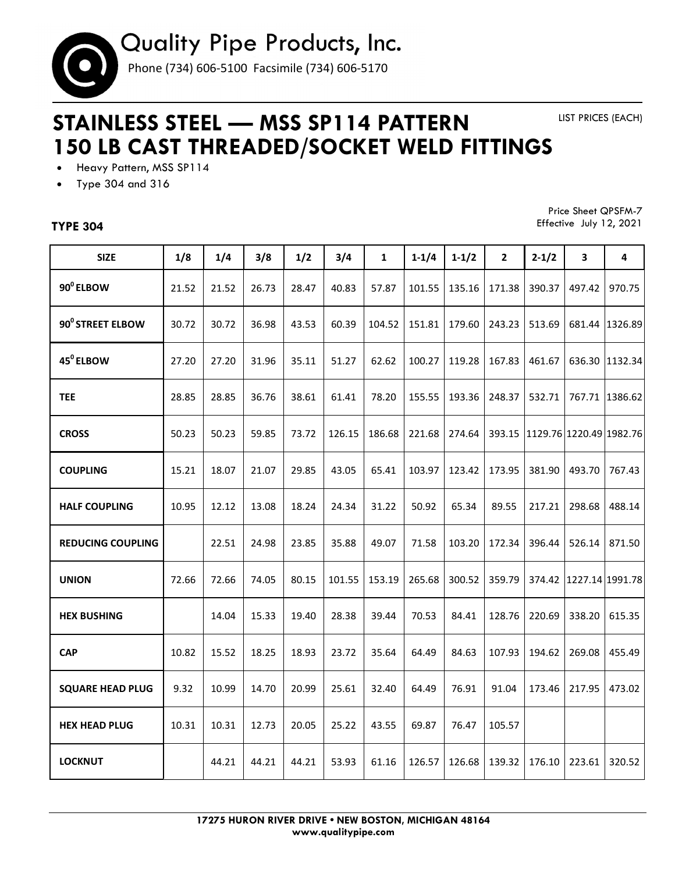

## **STAINLESS STEEL — MSS SP114 PATTERN 150 LB CAST THREADED/SOCKET WELD FITTINGS**

LIST PRICES (EACH)

- Heavy Pattern, MSS SP114
- Type 304 and 316

## **TYPE 304**

Price Sheet QPSFM-7 Effective July 12, 2021

| <b>SIZE</b>              | 1/8   | 1/4   | 3/8   | 1/2   | 3/4    | $\mathbf{1}$ | $1 - 1/4$ | $1 - 1/2$ | $\mathbf{2}$ | $2 - 1/2$ | 3                       | 4              |
|--------------------------|-------|-------|-------|-------|--------|--------------|-----------|-----------|--------------|-----------|-------------------------|----------------|
| 90 <sup>°</sup> ELBOW    | 21.52 | 21.52 | 26.73 | 28.47 | 40.83  | 57.87        | 101.55    | 135.16    | 171.38       | 390.37    | 497.42                  | 970.75         |
| 90° STREET ELBOW         | 30.72 | 30.72 | 36.98 | 43.53 | 60.39  | 104.52       | 151.81    | 179.60    | 243.23       | 513.69    | 681.44                  | 1326.89        |
| 45 <sup>°</sup> ELBOW    | 27.20 | 27.20 | 31.96 | 35.11 | 51.27  | 62.62        | 100.27    | 119.28    | 167.83       | 461.67    |                         | 636.30 1132.34 |
| <b>TEE</b>               | 28.85 | 28.85 | 36.76 | 38.61 | 61.41  | 78.20        | 155.55    | 193.36    | 248.37       | 532.71    |                         | 767.71 1386.62 |
| <b>CROSS</b>             | 50.23 | 50.23 | 59.85 | 73.72 | 126.15 | 186.68       | 221.68    | 274.64    | 393.15       |           | 1129.76 1220.49 1982.76 |                |
| <b>COUPLING</b>          | 15.21 | 18.07 | 21.07 | 29.85 | 43.05  | 65.41        | 103.97    | 123.42    | 173.95       | 381.90    | 493.70                  | 767.43         |
| <b>HALF COUPLING</b>     | 10.95 | 12.12 | 13.08 | 18.24 | 24.34  | 31.22        | 50.92     | 65.34     | 89.55        | 217.21    | 298.68                  | 488.14         |
| <b>REDUCING COUPLING</b> |       | 22.51 | 24.98 | 23.85 | 35.88  | 49.07        | 71.58     | 103.20    | 172.34       | 396.44    | 526.14                  | 871.50         |
| <b>UNION</b>             | 72.66 | 72.66 | 74.05 | 80.15 | 101.55 | 153.19       | 265.68    | 300.52    | 359.79       | 374.42    | 1227.14 1991.78         |                |
| <b>HEX BUSHING</b>       |       | 14.04 | 15.33 | 19.40 | 28.38  | 39.44        | 70.53     | 84.41     | 128.76       | 220.69    | 338.20                  | 615.35         |
| <b>CAP</b>               | 10.82 | 15.52 | 18.25 | 18.93 | 23.72  | 35.64        | 64.49     | 84.63     | 107.93       | 194.62    | 269.08                  | 455.49         |
| <b>SQUARE HEAD PLUG</b>  | 9.32  | 10.99 | 14.70 | 20.99 | 25.61  | 32.40        | 64.49     | 76.91     | 91.04        | 173.46    | 217.95                  | 473.02         |
| <b>HEX HEAD PLUG</b>     | 10.31 | 10.31 | 12.73 | 20.05 | 25.22  | 43.55        | 69.87     | 76.47     | 105.57       |           |                         |                |
| <b>LOCKNUT</b>           |       | 44.21 | 44.21 | 44.21 | 53.93  | 61.16        | 126.57    | 126.68    | 139.32       | 176.10    | 223.61                  | 320.52         |